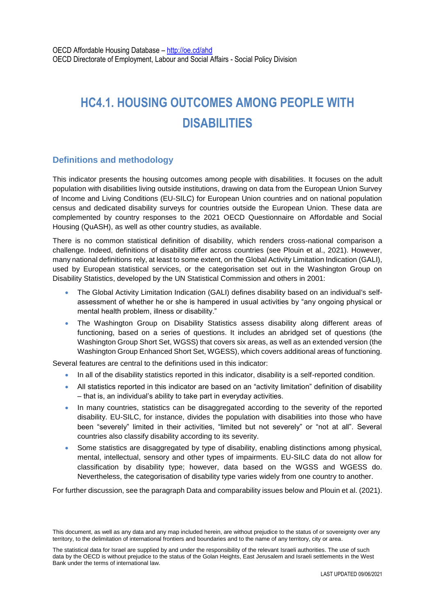# **HC4.1. HOUSING OUTCOMES AMONG PEOPLE WITH DISABILITIES**

# **Definitions and methodology**

This indicator presents the housing outcomes among people with disabilities. It focuses on the adult population with disabilities living outside institutions, drawing on data from the European Union Survey of Income and Living Conditions (EU-SILC) for European Union countries and on national population census and dedicated disability surveys for countries outside the European Union. These data are complemented by country responses to the 2021 OECD Questionnaire on Affordable and Social Housing (QuASH), as well as other country studies, as available.

There is no common statistical definition of disability, which renders cross-national comparison a challenge. Indeed, definitions of disability differ across countries (see Plouin et al., 2021). However, many national definitions rely, at least to some extent, on the Global Activity Limitation Indication (GALI), used by European statistical services, or the categorisation set out in the Washington Group on Disability Statistics, developed by the UN Statistical Commission and others in 2001:

- The Global Activity Limitation Indication (GALI) defines disability based on an individual's selfassessment of whether he or she is hampered in usual activities by "any ongoing physical or mental health problem, illness or disability."
- The Washington Group on Disability Statistics assess disability along different areas of functioning, based on a series of questions. It includes an abridged set of questions (the Washington Group Short Set, WGSS) that covers six areas, as well as an extended version (the Washington Group Enhanced Short Set, WGESS), which covers additional areas of functioning.

Several features are central to the definitions used in this indicator:

- In all of the disability statistics reported in this indicator, disability is a self-reported condition.
- All statistics reported in this indicator are based on an "activity limitation" definition of disability – that is, an individual's ability to take part in everyday activities.
- In many countries, statistics can be disaggregated according to the severity of the reported disability. EU-SILC, for instance, divides the population with disabilities into those who have been "severely" limited in their activities, "limited but not severely" or "not at all". Several countries also classify disability according to its severity.
- Some statistics are disaggregated by type of disability, enabling distinctions among physical, mental, intellectual, sensory and other types of impairments. EU-SILC data do not allow for classification by disability type; however, data based on the WGSS and WGESS do. Nevertheless, the categorisation of disability type varies widely from one country to another.

For further discussion, see the paragraph Data and comparability issues below and Plouin et al. (2021).

This document, as well as any data and any map included herein, are without prejudice to the status of or sovereignty over any territory, to the delimitation of international frontiers and boundaries and to the name of any territory, city or area.

The statistical data for Israel are supplied by and under the responsibility of the relevant Israeli authorities. The use of such data by the OECD is without prejudice to the status of the Golan Heights, East Jerusalem and Israeli settlements in the West Bank under the terms of international law.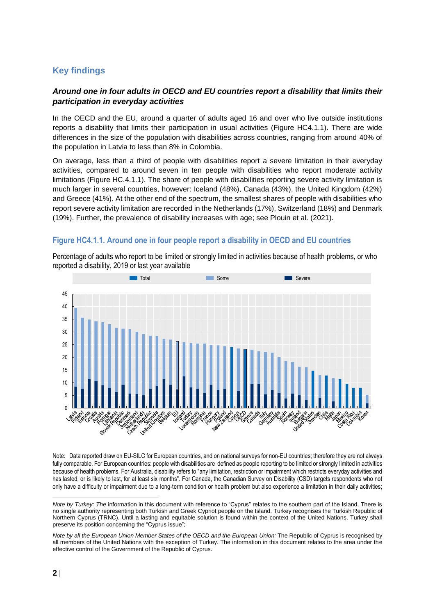# **Key findings**

## *Around one in four adults in OECD and EU countries report a disability that limits their participation in everyday activities*

In the OECD and the EU, around a quarter of adults aged 16 and over who live outside institutions reports a disability that limits their participation in usual activities (Figure HC4.1.1). There are wide differences in the size of the population with disabilities across countries, ranging from around 40% of the population in Latvia to less than 8% in Colombia.

On average, less than a third of people with disabilities report a severe limitation in their everyday activities, compared to around seven in ten people with disabilities who report moderate activity limitations (Figure HC.4.1.1). The share of people with disabilities reporting severe activity limitation is much larger in several countries, however: Iceland (48%), Canada (43%), the United Kingdom (42%) and Greece (41%). At the other end of the spectrum, the smallest shares of people with disabilities who report severe activity limitation are recorded in the Netherlands (17%), Switzerland (18%) and Denmark (19%). Further, the prevalence of disability increases with age; see Plouin et al. (2021).

# **Figure HC4.1.1. Around one in four people report a disability in OECD and EU countries**

**The Severe Severe Severe Severe Severe Severe Severe Severe Severe Severe Severe** 45 40 35 30 25 20 15 10 5 **ARTICAL ARTICLE** 0 **Ellen Straden Straden<br>Ellen Straden Straden**<br>Straden Straden **Vites Lukeri** Cerpus Creek Slowart

Percentage of adults who report to be limited or strongly limited in activities because of health problems, or who reported a disability, 2019 or last year available

Note: Data reported draw on EU-SILC for European countries, and on national surveys for non-EU countries; therefore they are not always fully comparable. For European countries: people with disabilities are defined as people reporting to be limited or strongly limited in activities because of health problems. For Australia, disability refers to "any limitation, restriction or impairment which restricts everyday activities and has lasted, or is likely to last, for at least six months". For Canada, the Canadian Survey on Disability (CSD) targets respondents who not only have a difficulty or impairment due to a long-term condition or health problem but also experience a limitation in their daily activities;

<sup>1</sup> *Note by Turkey: The* information in this document with reference to "Cyprus" relates to the southern part of the Island. There is no single authority representing both Turkish and Greek Cypriot people on the Island. Turkey recognises the Turkish Republic of Northern Cyprus (TRNC). Until a lasting and equitable solution is found within the context of the United Nations, Turkey shall preserve its position concerning the "Cyprus issue";

*Note by all the European Union Member States of the OECD and the European Union:* The Republic of Cyprus is recognised by all members of the United Nations with the exception of Turkey. The information in this document relates to the area under the effective control of the Government of the Republic of Cyprus.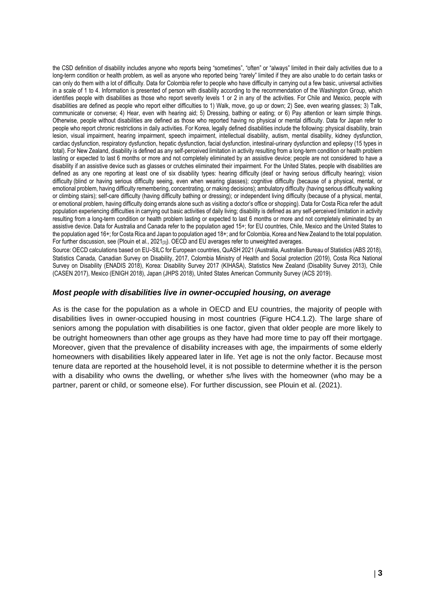the CSD definition of disability includes anyone who reports being "sometimes", "often" or "always" limited in their daily activities due to a long-term condition or health problem, as well as anyone who reported being "rarely" limited if they are also unable to do certain tasks or can only do them with a lot of difficulty. Data for Colombia refer to people who have difficulty in carrying out a few basic, universal activities in a scale of 1 to 4. Information is presented of person with disability according to the recommendation of the Washington Group, which identifies people with disabilities as those who report severity levels 1 or 2 in any of the activities. For Chile and Mexico, people with disabilities are defined as people who report either difficulties to 1) Walk, move, go up or down; 2) See, even wearing glasses; 3) Talk, communicate or converse; 4) Hear, even with hearing aid; 5) Dressing, bathing or eating; or 6) Pay attention or learn simple things. Otherwise, people without disabilities are defined as those who reported having no physical or mental difficulty. Data for Japan refer to people who report chronic restrictions in daily activities. For Korea, legally defined disabilities include the following: physical disability, brain lesion, visual impairment, hearing impairment, speech impairment, intellectual disability, autism, mental disability, kidney dysfunction, cardiac dysfunction, respiratory dysfunction, hepatic dysfunction, facial dysfunction, intestinal-urinary dysfunction and epilepsy (15 types in total). For New Zealand, disability is defined as any self-perceived limitation in activity resulting from a long-term condition or health problem lasting or expected to last 6 months or more and not completely eliminated by an assistive device; people are not considered to have a disability if an assistive device such as glasses or crutches eliminated their impairment. For the United States, people with disabilities are defined as any one reporting at least one of six disability types: hearing difficulty (deaf or having serious difficulty hearing); vision difficulty (blind or having serious difficulty seeing, even when wearing glasses); cognitive difficulty (because of a physical, mental, or emotional problem, having difficulty remembering, concentrating, or making decisions); ambulatory difficulty (having serious difficulty walking or climbing stairs); self-care difficulty (having difficulty bathing or dressing); or independent living difficulty (because of a physical, mental, or emotional problem, having difficulty doing errands alone such as visiting a doctor's office or shopping). Data for Costa Rica refer the adult population experiencing difficulties in carrying out basic activities of daily living; disability is defined as any self-perceived limitation in activity resulting from a long-term condition or health problem lasting or expected to last 6 months or more and not completely eliminated by an assistive device. Data for Australia and Canada refer to the population aged 15+; for EU countries, Chile, Mexico and the United States to the population aged 16+; for Costa Rica and Japan to population aged 18+; and for Colombia, Korea and New Zealand to the total population. For further discussion, see (Plouin et al., 2021[3]). OECD and EU averages refer to unweighted averages.

Source: OECD calculations based on EU-SILC for European countries, QuASH 2021 (Australia, Australian Bureau of Statistics (ABS 2018), Statistics Canada, Canadian Survey on Disability, 2017, Colombia Ministry of Health and Social protection (2019), Costa Rica National Survey on Disability (ENADIS 2018), Korea: Disability Survey 2017 (KIHASA), Statistics New Zealand (Disability Survey 2013), Chile (CASEN 2017), Mexico (ENIGH 2018), Japan (JHPS 2018), United States American Community Survey (ACS 2019).

#### *Most people with disabilities live in owner-occupied housing, on average*

As is the case for the population as a whole in OECD and EU countries, the majority of people with disabilities lives in owner-occupied housing in most countries [\(Figure HC4.1.2\)](#page-3-0). The large share of seniors among the population with disabilities is one factor, given that older people are more likely to be outright homeowners than other age groups as they have had more time to pay off their mortgage. Moreover, given that the prevalence of disability increases with age, the impairments of some elderly homeowners with disabilities likely appeared later in life. Yet age is not the only factor. Because most tenure data are reported at the household level, it is not possible to determine whether it is the person with a disability who owns the dwelling, or whether s/he lives with the homeowner (who may be a partner, parent or child, or someone else). For further discussion, see Plouin et al. (2021).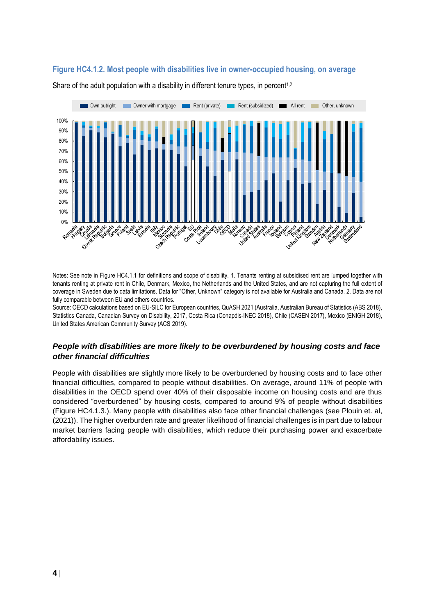## <span id="page-3-0"></span>**Figure HC4.1.2. Most people with disabilities live in owner-occupied housing, on average**



Share of the adult population with a disability in different tenure types, in percent<sup>1,2</sup>

Notes: See note in Figure HC4.1.1 for definitions and scope of disability. 1. Tenants renting at subsidised rent are lumped together with tenants renting at private rent in Chile, Denmark, Mexico, the Netherlands and the United States, and are not capturing the full extent of coverage in Sweden due to data limitations. Data for "Other, Unknown" category is not available for Australia and Canada. 2. Data are not fully comparable between EU and others countries.

Source: OECD calculations based on EU-SILC for European countries, QuASH 2021 (Australia, Australian Bureau of Statistics (ABS 2018), Statistics Canada, Canadian Survey on Disability, 2017, Costa Rica (Conapdis-INEC 2018), Chile (CASEN 2017), Mexico (ENIGH 2018), United States American Community Survey (ACS 2019).

#### *People with disabilities are more likely to be overburdened by housing costs and face other financial difficulties*

People with disabilities are slightly more likely to be overburdened by housing costs and to face other financial difficulties, compared to people without disabilities. On average, around 11% of people with disabilities in the OECD spend over 40% of their disposable income on housing costs and are thus considered "overburdened" by housing costs, compared to around 9% of people without disabilities [\(Figure HC4.1.3.\)](#page-4-0). Many people with disabilities also face other financial challenges (see Plouin et. al, (2021)). The higher overburden rate and greater likelihood of financial challenges is in part due to labour market barriers facing people with disabilities, which reduce their purchasing power and exacerbate affordability issues.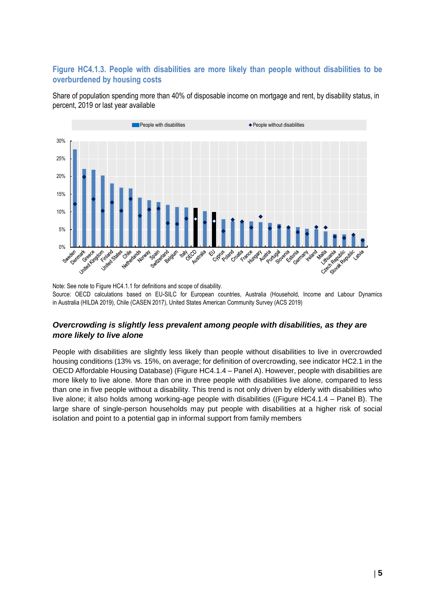# <span id="page-4-0"></span>**Figure HC4.1.3. People with disabilities are more likely than people without disabilities to be overburdened by housing costs**

Share of population spending more than 40% of disposable income on mortgage and rent, by disability status, in percent, 2019 or last year available



Note: See note to Figure HC4.1.1 for definitions and scope of disability. Source: OECD calculations based on EU-SILC for European countries, Australia (Household, Income and Labour Dynamics in Australia (HILDA 2019), Chile (CASEN 2017), United States American Community Survey (ACS 2019)

# *Overcrowding is slightly less prevalent among people with disabilities, as they are more likely to live alone*

People with disabilities are slightly less likely than people without disabilities to live in overcrowded housing conditions (13% vs. 15%, on average; for definition of overcrowding, see indicator HC2.1 in the OECD Affordable Housing Database) [\(Figure HC4.1.4](#page-5-0) – Panel A). However, people with disabilities are more likely to live alone. More than one in three people with disabilities live alone, compared to less than one in five people without a disability. This trend is not only driven by elderly with disabilities who live alone; it also holds among working-age people with disabilities ([\(Figure HC4.1.4](#page-5-0) – Panel B). The large share of single-person households may put people with disabilities at a higher risk of social isolation and point to a potential gap in informal support from family members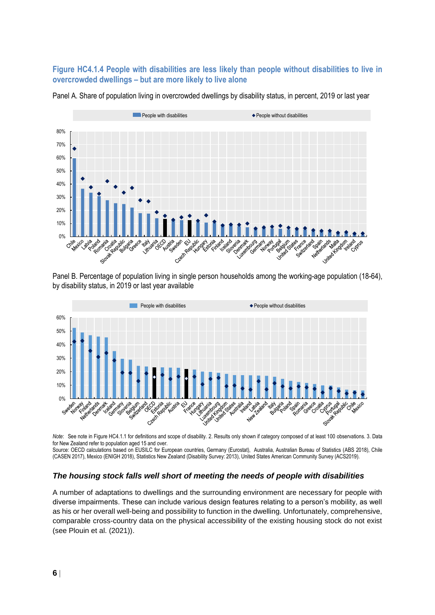## <span id="page-5-0"></span>**Figure HC4.1.4 People with disabilities are less likely than people without disabilities to live in overcrowded dwellings – but are more likely to live alone**



Panel A. Share of population living in overcrowded dwellings by disability status, in percent, 2019 or last year

Panel B. Percentage of population living in single person households among the working-age population (18-64), by disability status, in 2019 or last year available



*Note*: See note in Figure HC4.1.1 for definitions and scope of disability. 2. Results only shown if category composed of at least 100 observations. 3. Data for New Zealand refer to population aged 15 and over.

Source: OECD calculations based on EUSILC for European countries, Germany (Eurostat), Australia, Australian Bureau of Statistics (ABS 2018), Chile (CASEN 2017), Mexico (ENIGH 2018), Statistics New Zealand (Disability Survey: 2013), United States American Community Survey (ACS2019).

#### *The housing stock falls well short of meeting the needs of people with disabilities*

A number of adaptations to dwellings and the surrounding environment are necessary for people with diverse impairments. These can include various design features relating to a person's mobility, as well as his or her overall well-being and possibility to function in the dwelling. Unfortunately, comprehensive, comparable cross-country data on the physical accessibility of the existing housing stock do not exist (see Plouin et al. (2021)).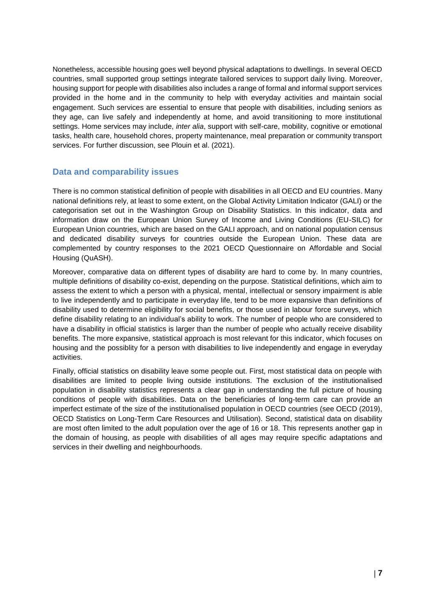Nonetheless, accessible housing goes well beyond physical adaptations to dwellings. In several OECD countries, small supported group settings integrate tailored services to support daily living. Moreover, housing support for people with disabilities also includes a range of formal and informal support services provided in the home and in the community to help with everyday activities and maintain social engagement. Such services are essential to ensure that people with disabilities, including seniors as they age, can live safely and independently at home, and avoid transitioning to more institutional settings. Home services may include, *inter alia*, support with self-care, mobility, cognitive or emotional tasks, health care, household chores, property maintenance, meal preparation or community transport services. For further discussion, see Plouin et al. (2021).

## **Data and comparability issues**

There is no common statistical definition of people with disabilities in all OECD and EU countries. Many national definitions rely, at least to some extent, on the Global Activity Limitation Indicator (GALI) or the categorisation set out in the Washington Group on Disability Statistics. In this indicator, data and information draw on the European Union Survey of Income and Living Conditions (EU-SILC) for European Union countries, which are based on the GALI approach, and on national population census and dedicated disability surveys for countries outside the European Union. These data are complemented by country responses to the 2021 OECD Questionnaire on Affordable and Social Housing (QuASH).

Moreover, comparative data on different types of disability are hard to come by. In many countries, multiple definitions of disability co-exist, depending on the purpose. Statistical definitions, which aim to assess the extent to which a person with a physical, mental, intellectual or sensory impairment is able to live independently and to participate in everyday life, tend to be more expansive than definitions of disability used to determine eligibility for social benefits, or those used in labour force surveys, which define disability relating to an individual's ability to work. The number of people who are considered to have a disability in official statistics is larger than the number of people who actually receive disability benefits. The more expansive, statistical approach is most relevant for this indicator, which focuses on housing and the possiblity for a person with disabilities to live independently and engage in everyday activities.

Finally, official statistics on disability leave some people out. First, most statistical data on people with disabilities are limited to people living outside institutions. The exclusion of the institutionalised population in disability statistics represents a clear gap in understanding the full picture of housing conditions of people with disabilities. Data on the beneficiaries of long-term care can provide an imperfect estimate of the size of the institutionalised population in OECD countries (see OECD (2019), OECD Statistics on Long-Term Care Resources and Utilisation). Second, statistical data on disability are most often limited to the adult population over the age of 16 or 18. This represents another gap in the domain of housing, as people with disabilities of all ages may require specific adaptations and services in their dwelling and neighbourhoods.